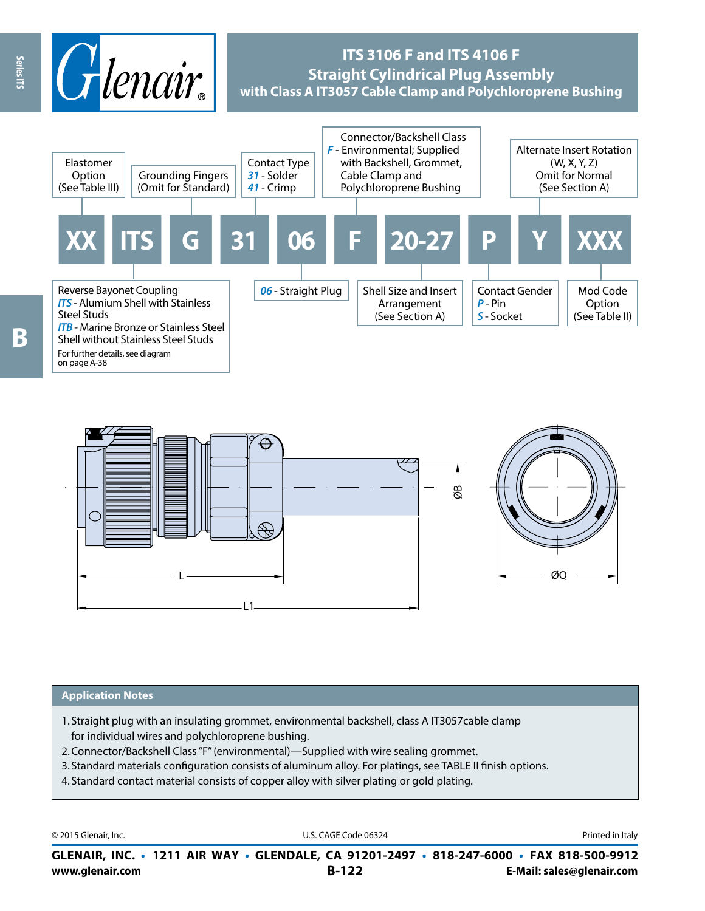

# **ITS 3106 F and ITS 4106 F Straight Cylindrical Plug Assembly with Class A IT3057 Cable Clamp and Polychloroprene Bushing**



For further details, see diagram on page A-38



#### **Application Notes**

- 1. Straight plug with an insulating grommet, environmental backshell, class A IT3057cable clamp for individual wires and polychloroprene bushing.
- 2.Connector/Backshell Class "F" (environmental)—Supplied with wire sealing grommet.
- 3. Standard materials configuration consists of aluminum alloy. For platings, see TABLE II finish options.
- 4. Standard contact material consists of copper alloy with silver plating or gold plating.

© 2015 Glenair, Inc. **Discription Construction Construction Construction Construction Construction Construction Construction Construction Construction Construction Construction Construction Construction Construction Constr** 

**www.glenair.com B-122 E-Mail: sales@glenair.com GLENAIR, INC. • 1211 AIR WAY • GLENDALE, CA 91201-2497 • 818-247-6000 • FAX 818-500-9912**

B

Series ITS